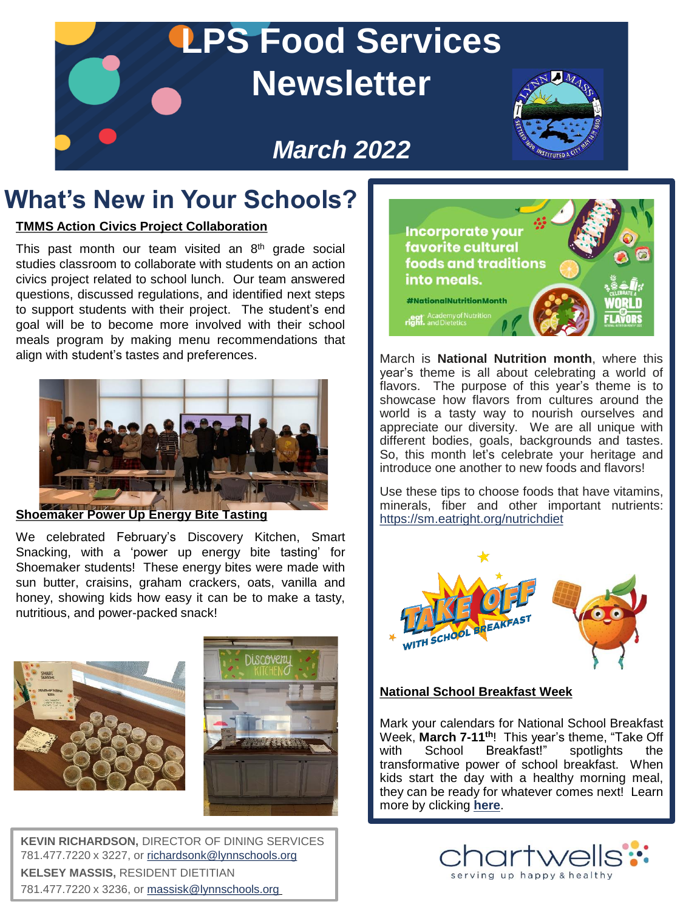

## **What's New in Your Schools?**

#### **TMMS Action Civics Project Collaboration**

This past month our team visited an 8<sup>th</sup> grade social studies classroom to collaborate with students on an action civics project related to school lunch. Our team answered questions, discussed regulations, and identified next steps to support students with their project. The student's end goal will be to become more involved with their school meals program by making menu recommendations that align with student's tastes and preferences.



#### **Shoemaker Power Up Energy Bite Tasting**

We celebrated February's Discovery Kitchen, Smart Snacking, with a 'power up energy bite tasting' for Shoemaker students! These energy bites were made with sun butter, craisins, graham crackers, oats, vanilla and honey, showing kids how easy it can be to make a tasty, nutritious, and power-packed snack!





**KEVIN RICHARDSON,** DIRECTOR OF DINING SERVICES 781.477.7220 x 3227, or [richardsonk@lynnschools.org](mailto:richardsonk@lynnschools.org) **KELSEY MASSIS,** RESIDENT DIETITIAN 781.477.7220 x 3236, or [massisk@lynnschools.org](mailto:massisk@lynnschools.org)



March is **National Nutrition month**, where this year's theme is all about celebrating a world of flavors. The purpose of this year's theme is to showcase how flavors from cultures around the world is a tasty way to nourish ourselves and appreciate our diversity. We are all unique with different bodies, goals, backgrounds and tastes. So, this month let's celebrate your heritage and introduce one another to new foods and flavors!

Use these tips to choose foods that have vitamins, minerals, fiber and other important nutrients: <https://sm.eatright.org/nutrichdiet>



#### **National School Breakfast Week**

Mark your calendars for National School Breakfast Week, **March 7-11th**! This year's theme, "Take Off with School Breakfast!" spotlights the transformative power of school breakfast. When kids start the day with a healthy morning meal, they can be ready for whatever comes next! Learn more by clicking **[here](https://schoolnutrition.org/meetings/events/nsbw/2022/about/)**.